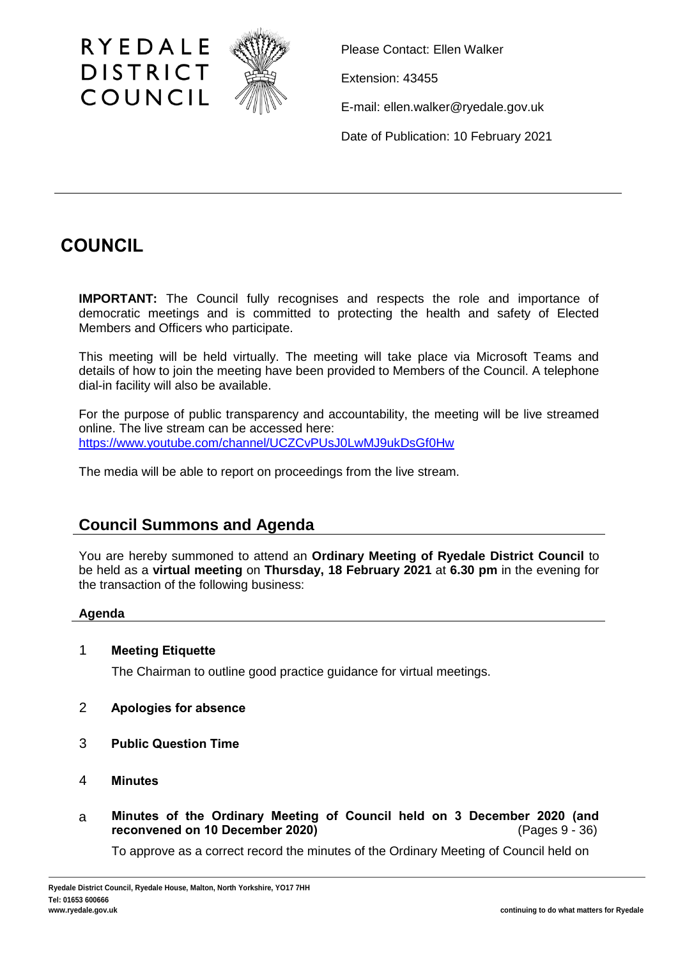

Please Contact: Ellen Walker

Extension: 43455

E-mail: ellen.walker@ryedale.gov.uk

Date of Publication: 10 February 2021

# **COUNCIL**

**IMPORTANT:** The Council fully recognises and respects the role and importance of democratic meetings and is committed to protecting the health and safety of Elected Members and Officers who participate.

This meeting will be held virtually. The meeting will take place via Microsoft Teams and details of how to join the meeting have been provided to Members of the Council. A telephone dial-in facility will also be available.

For the purpose of public transparency and accountability, the meeting will be live streamed online. The live stream can be accessed here: <https://www.youtube.com/channel/UCZCvPUsJ0LwMJ9ukDsGf0Hw>

The media will be able to report on proceedings from the live stream.

# **Council Summons and Agenda**

You are hereby summoned to attend an **Ordinary Meeting of Ryedale District Council** to be held as a **virtual meeting** on **Thursday, 18 February 2021** at **6.30 pm** in the evening for the transaction of the following business:

# **Agenda**

# 1 **Meeting Etiquette**

The Chairman to outline good practice guidance for virtual meetings.

- 2 **Apologies for absence**
- 3 **Public Question Time**
- 4 **Minutes**
- a **Minutes of the Ordinary Meeting of Council held on 3 December 2020 (and reconvened on 10 December 2020)** (Pages 9 - 36)

To approve as a correct record the minutes of the Ordinary Meeting of Council held on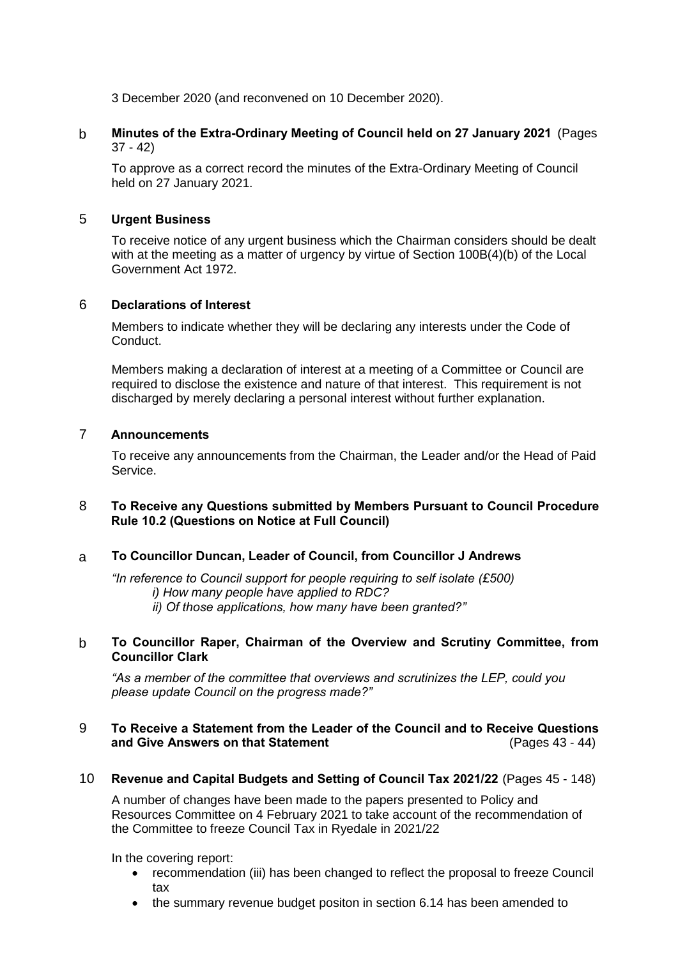3 December 2020 (and reconvened on 10 December 2020).

# b **Minutes of the Extra-Ordinary Meeting of Council held on 27 January 2021** (Pages 37 - 42)

To approve as a correct record the minutes of the Extra-Ordinary Meeting of Council held on 27 January 2021.

# 5 **Urgent Business**

To receive notice of any urgent business which the Chairman considers should be dealt with at the meeting as a matter of urgency by virtue of Section 100B(4)(b) of the Local Government Act 1972.

## 6 **Declarations of Interest**

Members to indicate whether they will be declaring any interests under the Code of Conduct.

Members making a declaration of interest at a meeting of a Committee or Council are required to disclose the existence and nature of that interest. This requirement is not discharged by merely declaring a personal interest without further explanation.

# 7 **Announcements**

To receive any announcements from the Chairman, the Leader and/or the Head of Paid Service.

# 8 **To Receive any Questions submitted by Members Pursuant to Council Procedure Rule 10.2 (Questions on Notice at Full Council)**

# a **To Councillor Duncan, Leader of Council, from Councillor J Andrews**

*"In reference to Council support for people requiring to self isolate (£500) i) How many people have applied to RDC? ii) Of those applications, how many have been granted?"*

## b **To Councillor Raper, Chairman of the Overview and Scrutiny Committee, from Councillor Clark**

*"As a member of the committee that overviews and scrutinizes the LEP, could you please update Council on the progress made?"*

# 9 **To Receive a Statement from the Leader of the Council and to Receive Questions and Give Answers on that Statement**

10 **Revenue and Capital Budgets and Setting of Council Tax 2021/22** (Pages 45 - 148)

A number of changes have been made to the papers presented to Policy and Resources Committee on 4 February 2021 to take account of the recommendation of the Committee to freeze Council Tax in Ryedale in 2021/22

In the covering report:

- recommendation (iii) has been changed to reflect the proposal to freeze Council tax
- the summary revenue budget positon in section 6.14 has been amended to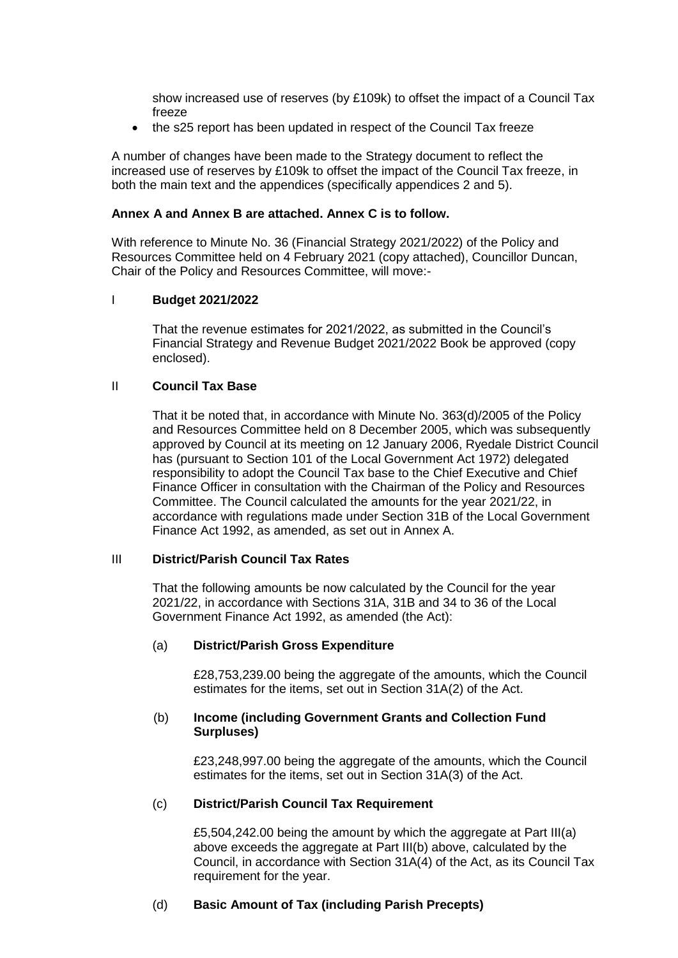show increased use of reserves (by £109k) to offset the impact of a Council Tax freeze

• the s25 report has been updated in respect of the Council Tax freeze

A number of changes have been made to the Strategy document to reflect the increased use of reserves by £109k to offset the impact of the Council Tax freeze, in both the main text and the appendices (specifically appendices 2 and 5).

#### **Annex A and Annex B are attached. Annex C is to follow.**

With reference to Minute No. 36 (Financial Strategy 2021/2022) of the Policy and Resources Committee held on 4 February 2021 (copy attached), Councillor Duncan, Chair of the Policy and Resources Committee, will move:-

#### I **Budget 2021/2022**

That the revenue estimates for 2021/2022, as submitted in the Council's Financial Strategy and Revenue Budget 2021/2022 Book be approved (copy enclosed).

#### II **Council Tax Base**

That it be noted that, in accordance with Minute No. 363(d)/2005 of the Policy and Resources Committee held on 8 December 2005, which was subsequently approved by Council at its meeting on 12 January 2006, Ryedale District Council has (pursuant to Section 101 of the Local Government Act 1972) delegated responsibility to adopt the Council Tax base to the Chief Executive and Chief Finance Officer in consultation with the Chairman of the Policy and Resources Committee. The Council calculated the amounts for the year 2021/22, in accordance with regulations made under Section 31B of the Local Government Finance Act 1992, as amended, as set out in Annex A.

#### III **District/Parish Council Tax Rates**

That the following amounts be now calculated by the Council for the year 2021/22, in accordance with Sections 31A, 31B and 34 to 36 of the Local Government Finance Act 1992, as amended (the Act):

#### (a) **District/Parish Gross Expenditure**

£28,753,239.00 being the aggregate of the amounts, which the Council estimates for the items, set out in Section 31A(2) of the Act.

#### (b) **Income (including Government Grants and Collection Fund Surpluses)**

£23,248,997.00 being the aggregate of the amounts, which the Council estimates for the items, set out in Section 31A(3) of the Act.

#### (c) **District/Parish Council Tax Requirement**

£5,504,242.00 being the amount by which the aggregate at Part III(a) above exceeds the aggregate at Part III(b) above, calculated by the Council, in accordance with Section 31A(4) of the Act, as its Council Tax requirement for the year.

#### (d) **Basic Amount of Tax (including Parish Precepts)**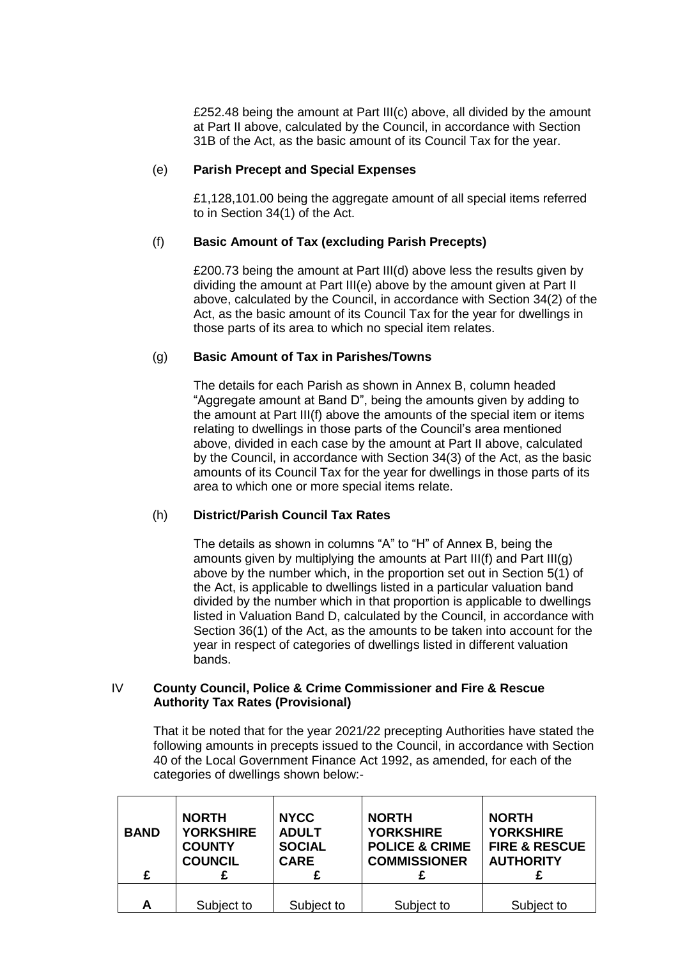£252.48 being the amount at Part III(c) above, all divided by the amount at Part II above, calculated by the Council, in accordance with Section 31B of the Act, as the basic amount of its Council Tax for the year.

#### (e) **Parish Precept and Special Expenses**

£1,128,101.00 being the aggregate amount of all special items referred to in Section 34(1) of the Act.

# (f) **Basic Amount of Tax (excluding Parish Precepts)**

£200.73 being the amount at Part III(d) above less the results given by dividing the amount at Part III(e) above by the amount given at Part II above, calculated by the Council, in accordance with Section 34(2) of the Act, as the basic amount of its Council Tax for the year for dwellings in those parts of its area to which no special item relates.

## (g) **Basic Amount of Tax in Parishes/Towns**

The details for each Parish as shown in Annex B, column headed "Aggregate amount at Band D", being the amounts given by adding to the amount at Part III(f) above the amounts of the special item or items relating to dwellings in those parts of the Council's area mentioned above, divided in each case by the amount at Part II above, calculated by the Council, in accordance with Section 34(3) of the Act, as the basic amounts of its Council Tax for the year for dwellings in those parts of its area to which one or more special items relate.

# (h) **District/Parish Council Tax Rates**

The details as shown in columns "A" to "H" of Annex B, being the amounts given by multiplying the amounts at Part III(f) and Part III(g) above by the number which, in the proportion set out in Section 5(1) of the Act, is applicable to dwellings listed in a particular valuation band divided by the number which in that proportion is applicable to dwellings listed in Valuation Band D, calculated by the Council, in accordance with Section 36(1) of the Act, as the amounts to be taken into account for the year in respect of categories of dwellings listed in different valuation bands.

#### IV **County Council, Police & Crime Commissioner and Fire & Rescue Authority Tax Rates (Provisional)**

That it be noted that for the year 2021/22 precepting Authorities have stated the following amounts in precepts issued to the Council, in accordance with Section 40 of the Local Government Finance Act 1992, as amended, for each of the categories of dwellings shown below:-

| <b>BAND</b> | <b>NORTH</b><br><b>YORKSHIRE</b><br><b>COUNTY</b><br><b>COUNCIL</b> | <b>NYCC</b><br><b>ADULT</b><br><b>SOCIAL</b><br><b>CARE</b> | <b>NORTH</b><br><b>YORKSHIRE</b><br><b>POLICE &amp; CRIME</b><br><b>COMMISSIONER</b> | <b>NORTH</b><br><b>YORKSHIRE</b><br><b>FIRE &amp; RESCUE</b><br><b>AUTHORITY</b> |
|-------------|---------------------------------------------------------------------|-------------------------------------------------------------|--------------------------------------------------------------------------------------|----------------------------------------------------------------------------------|
| £           |                                                                     |                                                             |                                                                                      |                                                                                  |
| А           | Subject to                                                          | Subject to                                                  | Subject to                                                                           | Subject to                                                                       |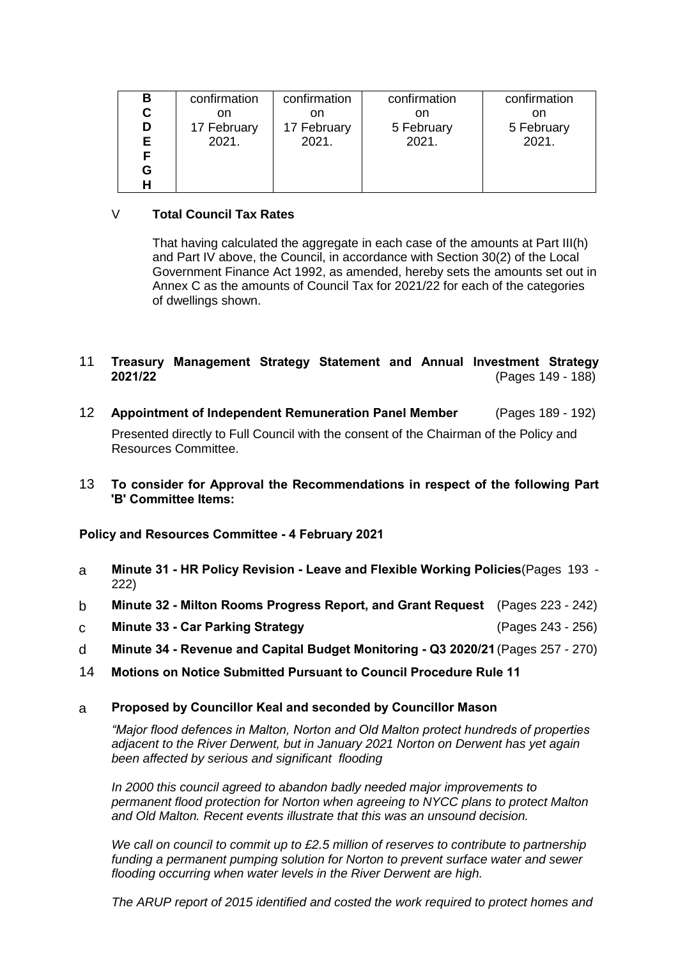| В  | confirmation | confirmation | confirmation | confirmation |
|----|--------------|--------------|--------------|--------------|
| С  | on           | on           | on           | on           |
| D  | 17 February  | 17 February  | 5 February   | 5 February   |
| Е. | 2021.        | 2021.        | 2021.        | 2021.        |
|    |              |              |              |              |
| G  |              |              |              |              |
|    |              |              |              |              |

# V **Total Council Tax Rates**

That having calculated the aggregate in each case of the amounts at Part III(h) and Part IV above, the Council, in accordance with Section 30(2) of the Local Government Finance Act 1992, as amended, hereby sets the amounts set out in Annex C as the amounts of Council Tax for 2021/22 for each of the categories of dwellings shown.

# 11 **Treasury Management Strategy Statement and Annual Investment Strategy 2021/22** (Pages 149 - 188)

- 12 **Appointment of Independent Remuneration Panel Member** (Pages 189 192) Presented directly to Full Council with the consent of the Chairman of the Policy and Resources Committee.
- 13 **To consider for Approval the Recommendations in respect of the following Part 'B' Committee Items:**

**Policy and Resources Committee - 4 February 2021**

- a **Minute 31 - HR Policy Revision - Leave and Flexible Working Policies**(Pages 193 222)
- b **Minute 32 - Milton Rooms Progress Report, and Grant Request** (Pages 223 242)
- c **Minute 33 - Car Parking Strategy** (Pages 243 256)
- d **Minute 34 - Revenue and Capital Budget Monitoring - Q3 2020/21**(Pages 257 270)
- 14 **Motions on Notice Submitted Pursuant to Council Procedure Rule 11**

# a **Proposed by Councillor Keal and seconded by Councillor Mason**

*"Major flood defences in Malton, Norton and Old Malton protect hundreds of properties adjacent to the River Derwent, but in January 2021 Norton on Derwent has yet again been affected by serious and significant flooding*

*In 2000 this council agreed to abandon badly needed major improvements to permanent flood protection for Norton when agreeing to NYCC plans to protect Malton and Old Malton. Recent events illustrate that this was an unsound decision.*

*We call on council to commit up to £2.5 million of reserves to contribute to partnership funding a permanent pumping solution for Norton to prevent surface water and sewer flooding occurring when water levels in the River Derwent are high.*

*The ARUP report of 2015 identified and costed the work required to protect homes and*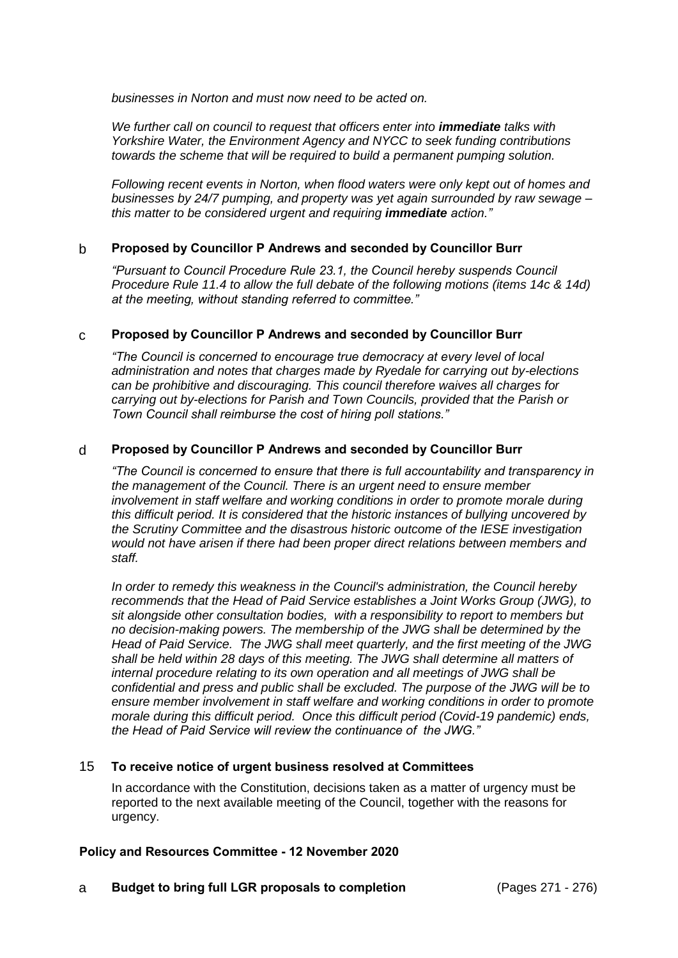*businesses in Norton and must now need to be acted on.* 

*We further call on council to request that officers enter into immediate talks with Yorkshire Water, the Environment Agency and NYCC to seek funding contributions towards the scheme that will be required to build a permanent pumping solution.*

*Following recent events in Norton, when flood waters were only kept out of homes and businesses by 24/7 pumping, and property was yet again surrounded by raw sewage – this matter to be considered urgent and requiring immediate action."*

## b **Proposed by Councillor P Andrews and seconded by Councillor Burr**

*"Pursuant to Council Procedure Rule 23.1, the Council hereby suspends Council Procedure Rule 11.4 to allow the full debate of the following motions (items 14c & 14d) at the meeting, without standing referred to committee."*

#### c **Proposed by Councillor P Andrews and seconded by Councillor Burr**

*"The Council is concerned to encourage true democracy at every level of local administration and notes that charges made by Ryedale for carrying out by-elections can be prohibitive and discouraging. This council therefore waives all charges for carrying out by-elections for Parish and Town Councils, provided that the Parish or Town Council shall reimburse the cost of hiring poll stations."*

## d **Proposed by Councillor P Andrews and seconded by Councillor Burr**

*"The Council is concerned to ensure that there is full accountability and transparency in the management of the Council. There is an urgent need to ensure member involvement in staff welfare and working conditions in order to promote morale during this difficult period. It is considered that the historic instances of bullying uncovered by the Scrutiny Committee and the disastrous historic outcome of the IESE investigation would not have arisen if there had been proper direct relations between members and staff.* 

*In order to remedy this weakness in the Council's administration, the Council hereby recommends that the Head of Paid Service establishes a Joint Works Group (JWG), to sit alongside other consultation bodies, with a responsibility to report to members but no decision-making powers. The membership of the JWG shall be determined by the Head of Paid Service. The JWG shall meet quarterly, and the first meeting of the JWG shall be held within 28 days of this meeting. The JWG shall determine all matters of internal procedure relating to its own operation and all meetings of JWG shall be confidential and press and public shall be excluded. The purpose of the JWG will be to ensure member involvement in staff welfare and working conditions in order to promote morale during this difficult period. Once this difficult period (Covid-19 pandemic) ends, the Head of Paid Service will review the continuance of the JWG."*

#### 15 **To receive notice of urgent business resolved at Committees**

In accordance with the Constitution, decisions taken as a matter of urgency must be reported to the next available meeting of the Council, together with the reasons for urgency.

#### **Policy and Resources Committee - 12 November 2020**

a **Budget to bring full LGR proposals to completion** (Pages 271 - 276)